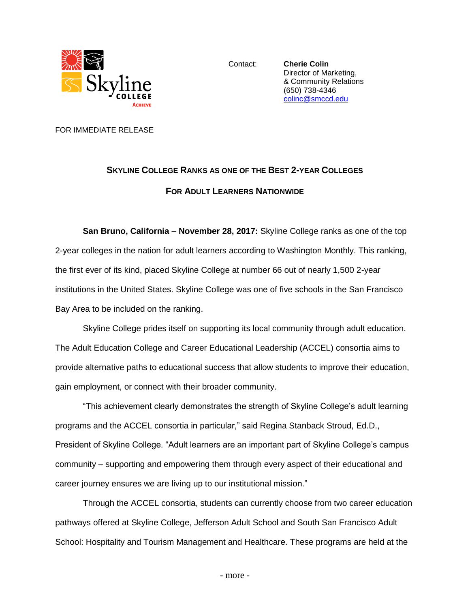

Contact: **Cherie Colin** Director of Marketing, & Community Relations (650) 738-4346 [colinc@smccd.edu](mailto:colinc@smccd.edu)

FOR IMMEDIATE RELEASE

## **SKYLINE COLLEGE RANKS AS ONE OF THE BEST 2-YEAR COLLEGES FOR ADULT LEARNERS NATIONWIDE**

**San Bruno, California – November 28, 2017:** Skyline College ranks as one of the top 2-year colleges in the nation for adult learners according to Washington Monthly. This ranking, the first ever of its kind, placed Skyline College at number 66 out of nearly 1,500 2-year institutions in the United States. Skyline College was one of five schools in the San Francisco Bay Area to be included on the ranking.

Skyline College prides itself on supporting its local community through adult education. The Adult Education College and Career Educational Leadership (ACCEL) consortia aims to provide alternative paths to educational success that allow students to improve their education, gain employment, or connect with their broader community.

"This achievement clearly demonstrates the strength of Skyline College's adult learning programs and the ACCEL consortia in particular," said Regina Stanback Stroud, Ed.D., President of Skyline College. "Adult learners are an important part of Skyline College's campus community – supporting and empowering them through every aspect of their educational and career journey ensures we are living up to our institutional mission."

Through the ACCEL consortia, students can currently choose from two career education pathways offered at Skyline College, Jefferson Adult School and South San Francisco Adult School: Hospitality and Tourism Management and Healthcare. These programs are held at the